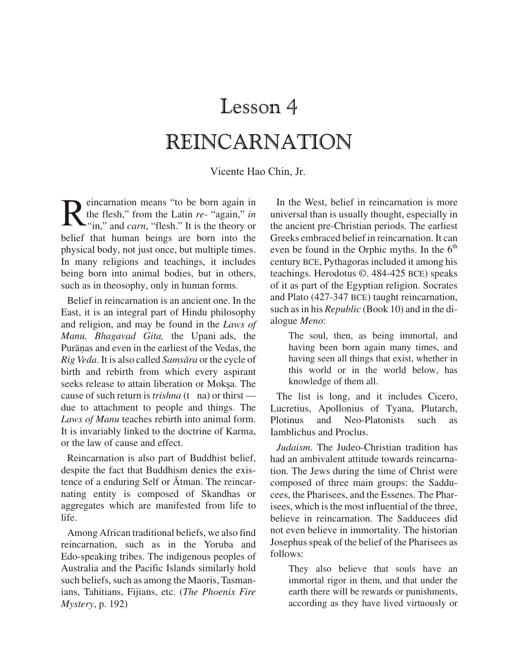# Lesson 4 REINCARNATION

Vicente Hao Chin, Jr.

Reincarnation means "to be born again in<br>the flesh," from the Latin re- "again," in<br>"in," and *carn*, "flesh." It is the theory or the flesh," from the Latin *re-* "again," *in "*in," and *carn*, "flesh." It is the theory or belief that human beings are born into the physical body, not just once, but multiple times. In many religions and teachings, it includes being born into animal bodies, but in others, such as in theosophy, only in human forms.

Belief in reincarnation is an ancient one. In the East, it is an integral part of Hindu philosophy and religion, and may be found in the *Laws of Manu, Bhagavad Gita, the Upani ads, the* Purānas and even in the earliest of the Vedas, the *Rig Veda*. It is also called *Samsāra* or the cycle of birth and rebirth from which every aspirant seeks release to attain liberation or Moksa. The cause of such return is *trishna* (t na) or thirst due to attachment to people and things. The Laws of Manu teaches rebirth into animal form. It is invariably linked to the doctrine of Karma, or the law of cause and effect.

Reincarnation is also part of Buddhist belief, despite the fact that Buddhism denies the existence of a enduring Self or  $\bar{A}$ tman. The reincarnating entity is composed of Skandhas or aggregates which are manifested from life to life.

Among African traditional beliefs, we also find reincarnation, such as in the Yoruba and Edo-speaking tribes. The indigenous peoples of Australia and the Pacific Islands similarly hold such be liefs, such as among the Maoris, Tasmanians, Tahitians, Fijians, etc. (*The Phoenix Fire Mys tery*, p. 192)

In the West, belief in reincarnation is more universal than is usually thought, especially in the ancient pre-Christian periods. The earliest Greeks embraced belief in reincarnation. It can even be found in the Orphic myths. In the  $6<sup>th</sup>$ century BCE, Pythagoras included it among his teach ings. Herodotus ©. 484-425 BCE) speaks of it as part of the Egyptian religion. Socrates and Plato (427-347 BCE) taught reincarnation, such as in his *Republic* (Book 10) and in the dialogue Meno:

The soul, then, as being immortal, and having been born again many times, and having seen all things that exist, whether in this world or in the world below, has knowledge of them all.

The list is long, and it includes Cicero, Lucretius, Apollonius of Tyana, Plutarch, Plotinus and Neo-Platonists such as Iamblichus and Proclus.

*Judaism.* The Judeo-Christian tradition has had an ambivalent attitude towards reincarnation. The Jews during the time of Christ were composed of three main groups: the Sadducees, the Pharisees, and the Essenes. The Pharisees, which is the most influential of the three. believe in reincarnation. The Sadducees did not even believe in immortality. The historian Josephus speak of the belief of the Pharisees as follows:

They also believe that souls have an immortal rigor in them, and that under the earth there will be rewards or punishments, according as they have lived virtuously or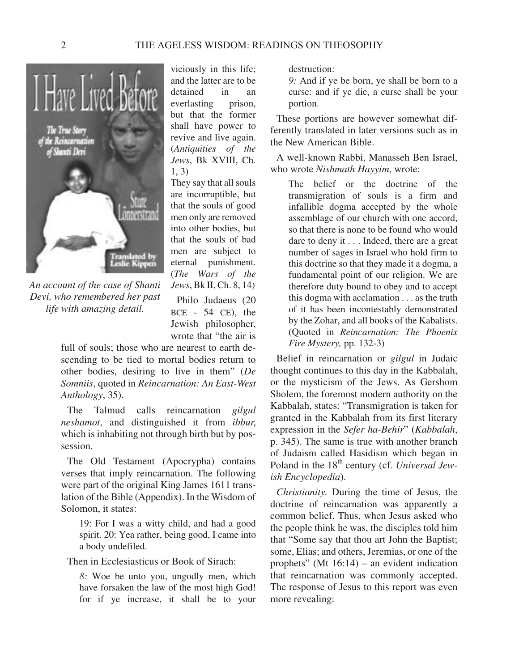

*An account of the case of Shanti Devi, who remembered her past life with amazing detail.*

viciously in this life; and the latter are to be detained in an everlasting prison, but that the former shall have power to revive and live again. (*Antiquities of the Jews*, Bk XVIII, Ch. 1, 3)

They say that all souls are incorruptible, but that the souls of good men only are removed into other bodies, but that the souls of bad men are subject to eternal punishment. (*The Wars of the Jews*, Bk II, Ch. 8, 14) Philo Judaeus (20  $BCE - 54 CE$ , the Jewish philosopher,

wrote that "the air is

full of souls; those who are nearest to earth descending to be tied to mortal bodies return to other bodies, desiring to live in them" (*De Somniis*, quoted in *Reincarnation: An East-West An thol ogy*, 35).

The Talmud calls reincarnation *gilgul neshamot*, and distinguished it from *ibbur*, which is inhabiting not through birth but by possession.

The Old Testament (Apocrypha) contains verses that imply reincarnation. The following were part of the original King James 1611 translation of the Bible (Appendix). In the Wisdom of Solomon, it states:

19: For I was a witty child, and had a good spirit. 20: Yea rather, being good, I came into a body undefiled.

Then in Ecclesiasticus or Book of Sirach:

*8:* Woe be unto you, ungodly men, which have forsaken the law of the most high God! for if ye increase, it shall be to your destruction:

*9:* And if ye be born, ye shall be born to a curse: and if ye die, a curse shall be your portion.

These portions are however somewhat differently translated in later versions such as in the New American Bible.

A well-known Rabbi, Manasseh Ben Israel, who wrote *Nishmath Hayyim*, wrote:

The belief or the doctrine of the transmigration of souls is a firm and infallible dogma accepted by the whole assemblage of our church with one accord, so that there is none to be found who would dare to deny it . . . Indeed, there are a great number of sages in Israel who hold firm to this doctrine so that they made it a dogma, a fundamental point of our religion. We are therefore duty bound to obey and to accept this dogma with acclamation . . . as the truth of it has been incontestably demonstrated by the Zohar, and all books of the Kabalists. (Quoted in *Reincarnation: The Phoenix Fire Mystery,* pp. 132-3)

Belief in reincarnation or *gilgul* in Judaic thought continues to this day in the Kabbalah, or the mysticism of the Jews. As Gershom Sholem, the foremost modern authority on the Kabbalah, states: "Transmigration is taken for granted in the Kabbalah from its first literary ex pres sion in the *Sefer ha-Behir*" (*Kabbalah*, p. 345). The same is true with another branch of Judaism called Hasidism which began in Poland in the 18<sup>th</sup> century (cf. *Universal Jewish Encyclopedia*).

*Christianity*. During the time of Jesus, the doctrine of reincarnation was apparently a common belief. Thus, when Jesus asked who the people think he was, the disciples told him that "Some say that thou art John the Baptist; some, Elias; and others, Jeremias, or one of the prophets" (Mt  $16:14$ ) – an evident indication that reincarnation was commonly accepted. The response of Jesus to this report was even more revealing: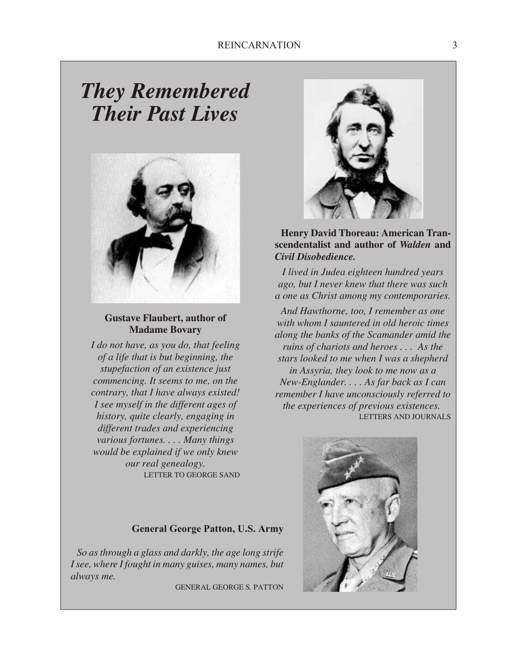## *They Re mem bered Their Past Lives*



**Gustave Flaubert, author of Madame Bovary** 

*I do not have, as you do, that feeling of a life that is but beginning, the stupefaction of an existence just commencing. It seems to me, on the contrary, that I have always existed! I see myself in the different ages of history, quite clearly, engaging in different trades and experiencing various fortunes. . . . Many things would be explained if we only knew our real genealogy.* LETTER TO GEORGE SAND

#### **General George Patton, U.S. Army**

*So as through a glass and darkly, the age long strife I see, where I fought in many guises, many names, but al ways me.*

GENERAL GEORGE S. PATTON



#### **Henry David Thoreau: American Transcen den tal ist and au thor of** *Walden* **and** *Civil Disobedience.*

*I lived in Judea eighteen hundred years ago, but I never knew that there was such a one as Christ among my contemporaries.*

*And Hawthorne, too, I remember as one with whom I sauntered in old heroic times along the banks of the Scamander amid the ruins of chariots and heroes . . . As the stars looked to me when I was a shepherd in As syria, they look to me now as a New-Englander. . . . As far back as I can re mem ber I have un con sciously re ferred to the experiences of previous existences.* LETTERS AND JOURNALS

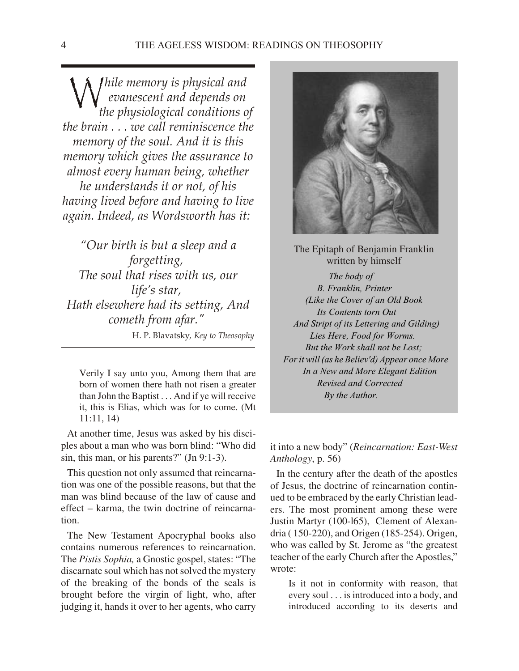*While memory is physical and*<br>*Wevanescent and depends on*<br>*the physiological conditions c ev a nes cent and de pends on the phys i o log i cal con di tions of the brain . . . we call reminiscence the mem ory of the soul. And it is this mem ory which gives the assur ance to al most ev ery hu man be ing, whether he un der stands it or not, of his hav ing lived be fore and hav ing to live again. In deed, as Words worth has it:* 

*"Our birth is but a sleep and a for get ting, The soul that rises with us, our life's star, Hath else where had its set ting, And com eth from afar."* H. P. Blavatsky*, Key to Theosophy*

Verily I say unto you, Among them that are born of women there hath not risen a greater than John the Baptist . . . And if ye will receive it, this is Elias, which was for to come. (Mt 11:11, 14)

At another time, Jesus was asked by his disciples about a man who was born blind: "Who did sin, this man, or his parents?" (Jn 9:1-3).

This question not only assumed that reincarnation was one of the possible reasons, but that the man was blind because of the law of cause and  $effect - karma$ , the twin doctrine of reincarnation.

The New Testament Apocryphal books also contains numerous references to reincarnation. The *Pistis Sophia*, a Gnostic gospel, states: "The discarnate soul which has not solved the mystery of the breaking of the bonds of the seals is brought before the virgin of light, who, after judging it, hands it over to her agents, who carry



The Epitaph of Benjamin Franklin written by himself *The body of B. Franklin, Printer (Like the Cover of an Old Book* **Its Contents torn Out**  *And Stript of its Let tering and Gilding) Lies Here, Food for Worms. But the Work shall not be Lost;* For it will (as he Believ'd) Appear once More In a New and More Elegant Edition  *Re vised and Cor rected By the Au thor.*

it into a new body" (Reincarnation: East-West *An thol ogy*, p. 56)

In the century after the death of the apostles of Jesus, the doctrine of reincarnation continued to be embraced by the early Christian leaders. The most prominent among these were Justin Martyr (100-165), Clement of Alexandria ( 150-220), and Origen (185-254). Origen, who was called by St. Jerome as "the greatest" teacher of the early Church after the Apostles," wrote:

Is it not in conformity with reason, that every soul . . . is introduced into a body, and introduced according to its deserts and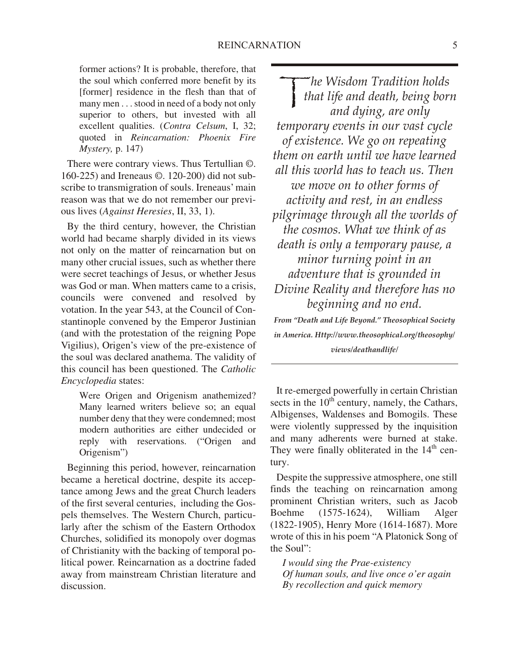former actions? It is probable, therefore, that the soul which conferred more benefit by its [former] residence in the flesh than that of many men . . . stood in need of a body not only superior to others, but invested with all excellent qualities. (*Contra Celsum*, I, 32; quoted in *Reincarnation: Phoenix Fire Mystery,* p. 147)

There were contrary views. Thus Tertullian  $\odot$ . 160-225) and Ireneaus ©. 120-200) did not sub scribe to transmigration of souls. Ireneaus' main reason was that we do not remember our previous lives (*Against Heresies*, II, 33, 1).

By the third century, however, the Christian world had became sharply divided in its views not only on the matter of reincarnation but on many other crucial issues, such as whether there were secret teachings of Jesus, or whether Jesus was God or man. When matters came to a crisis, councils were convened and resolved by votation. In the year 543, at the Council of Constantinople convened by the Emperor Justinian (and with the protestation of the reigning Pope Vigilius), Origen's view of the pre-existence of the soul was declared anathema. The validity of this council has been questioned. The *Catholic Encyclopedia* states:

Were Origen and Origenism anathemized? Many learned writers believe so; an equal number deny that they were condemned; most modern authorities are either undecided or reply with reservations. ("Origen and Origenism")

Beginning this period, however, reincarnation became a heretical doctrine, despite its acceptance among Jews and the great Church leaders of the first several centuries, including the Gospels themselves. The Western Church, particularly after the schism of the Eastern Orthodox Churches, solidified its monopoly over dogmas of Christianity with the backing of temporal political power. Reincarnation as a doctrine faded away from mainstream Christian literature and discussion.

 $\frac{1}{\sqrt{2}}$ *he Wis dom Tra di tion holds that life and death, be ing born and dy ing, are only tem po rary events in our vast cy cle of ex is tence. We go on re peat ing them on earth un til we have learned all this world has to teach us. Then we move on to other forms of ac tiv ity and rest, in an end less pil grim age through all the worlds of the cos mos. What we think of as death is only a tem po rary pause, a mi nor turn ing point in an ad ven ture that is grounded in Di vine Re al ity and therefore has no be gin ning and no end.*

*From "Death and Life Beyond." Theosophical Society in America. Http://www.theosophical.org/theosophy/ views/deathandlife/*

It re-emerged powerfully in certain Christian sects in the  $10<sup>th</sup>$  century, namely, the Cathars, Albigenses, Waldenses and Bomogils. These were violently suppressed by the inquisition and many adherents were burned at stake. They were finally obliterated in the  $14<sup>th</sup>$  century.

Despite the suppressive atmosphere, one still finds the teaching on reincarnation among prominent Christian writers, such as Jacob Boehme (1575-1624), William Alger (1822-1905), Henry More (1614-1687). More wrote of this in his poem "A Platonick Song of the Soul":

*I would sing the Prae-existency Of human souls, and live once o'er again By recollection and quick memory*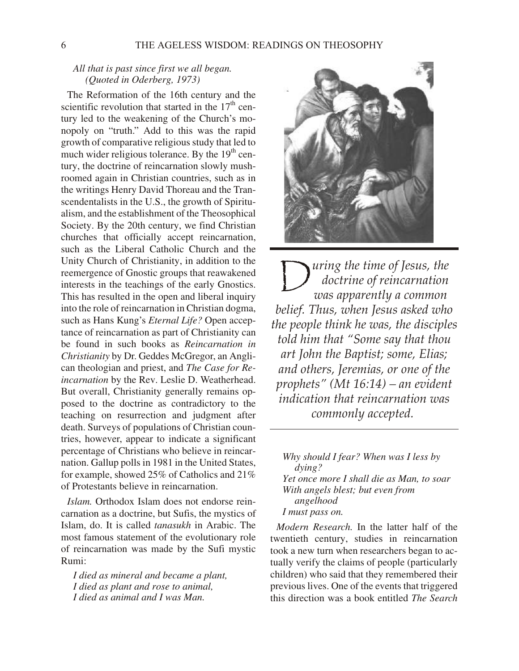#### *All that is past since first we all began. (Quoted in Oderberg, 1973)*

The Reformation of the 16th century and the scientific revolution that started in the  $17<sup>th</sup>$  century led to the weakening of the Church's monopoly on "truth." Add to this was the rapid growth of comparative religious study that led to much wider religious tolerance. By the  $19<sup>th</sup>$  century, the doctrine of reincarnation slowly mushroomed again in Christian countries, such as in the writings Henry David Thoreau and the Transcendentalists in the U.S., the growth of Spiritualism, and the establishment of the Theosophical Society. By the 20th century, we find Christian churches that officially accept reincarnation, such as the Liberal Catholic Church and the Unity Church of Christianity, in addition to the reemergence of Gnostic groups that reawakened interests in the teachings of the early Gnostics. This has resulted in the open and liberal inquiry into the role of reincarnation in Christian dogma, such as Hans Kung's *Eternal Life?* Open acceptance of reincarnation as part of Christianity can be found in such books as *Reincarnation in Christianity* by Dr. Geddes McGregor, an Anglican theologian and priest, and *The Case for Re*incarnation by the Rev. Leslie D. Weatherhead. But overall, Christianity generally remains opposed to the doctrine as contradictory to the teaching on resurrection and judgment after death. Surveys of populations of Christian countries, however, appear to indicate a significant percentage of Christians who believe in reincarnation. Gallup polls in 1981 in the United States, for example, showed 25% of Catholics and  $21%$ of Protestants believe in reincarnation.

*Islam.* Orthodox Islam does not endorse reincarnation as a doctrine, but Sufis, the mystics of Is lam, do. It is called *tanasukh* in Arabic. The most famous statement of the evolutionary role of reincarnation was made by the Sufi mystic Rumi:

*I died as mineral and became a plant, I died as plant and rose to animal, I died as animal and I was Man.*



 $\bigcup$ *uring the time of Jesus, the doc trine of re in car na tion was ap par ently a com mon be lief. Thus, when Je sus asked who the people think he was, the disciples told him that "Some say that thou* art John the Baptist; some, Elias; *and oth ers, Jeremias, or one of the prophets" (Mt 16:14) – an evident in di ca tion that re in car na tion was com monly ac cepted.* 

*Why should I fear? When was I less by dying? Yet once more I shall die as Man, to soar With angels blest; but even from angelhood I must pass on.*

*Modern Research*. In the latter half of the twentieth century, studies in reincarnation took a new turn when researchers began to actually verify the claims of people (particularly children) who said that they remembered their previous lives. One of the events that triggered this direction was a book entitled *The Search*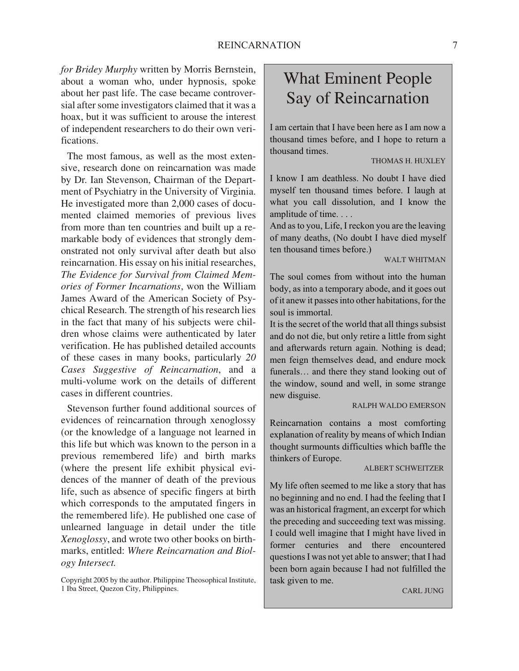*for Bridey Murphy* written by Morris Bernstein, about a woman who, under hypnosis, spoke about her past life. The case became controversial after some investigators claimed that it was a hoax, but it was sufficient to arouse the interest of independent researchers to do their own verifications.

The most famous, as well as the most extensive, research done on reincarnation was made by Dr. Ian Stevenson, Chairman of the Department of Psychiatry in the University of Virginia. He investigated more than 2,000 cases of documented claimed memories of previous lives from more than ten countries and built up a remarkable body of evidences that strongly demon strated not only survival after death but also reincarnation. His essay on his initial researches, *The Evidence for Survival from Claimed Memories of Former Incarnations*, won the William James Award of the American Society of Psychical Research. The strength of his research lies in the fact that many of his subjects were children whose claims were authenticated by later verification. He has published detailed accounts of these cases in many books, particularly 20 *Cases Suggestive of Reincarnation*, and a multi-volume work on the details of different cases in different countries.

Stevenson further found additional sources of evidences of reincarnation through xenoglossy (or the knowledge of a language not learned in this life but which was known to the person in a previous remembered life) and birth marks (where the present life exhibit physical evidences of the manner of death of the previous life, such as absence of specific fingers at birth which corresponds to the amputated fingers in the remembered life). He published one case of unlearned language in detail under the title Xenoglossy, and wrote two other books on birthmarks, entitled: *Where Reincarnation and Biology In ter sect.*

## What Eminent People Say of Reincarnation

I am certain that I have been here as I am now a thousand times before, and I hope to return a thousand times.

#### THOMAS H. HUXLEY

I know I am deathless. No doubt I have died my self ten thousand times before. I laugh at what you call dissolution, and I know the amplitude of time. . . .

And as to you, Life, I reckon you are the leaving of many deaths, (No doubt I have died myself ten thousand times before.)

#### WALT WHITMAN

The soul comes from without into the human body, as into a temporary abode, and it goes out of it anew it passes into other habitations, for the soul is immortal.

It is the secret of the world that all things subsist and do not die, but only retire a little from sight and afterwards return again. Nothing is dead; men feign themselves dead, and endure mock funerals... and there they stand looking out of the window, sound and well, in some strange new disguise.

#### RALPH WALDO EMERSON

Reincarnation contains a most comforting explanation of reality by means of which Indian thought surmounts difficulties which baffle the thinkers of Europe.

#### AL BERT SCHWEITZER

My life often seemed to me like a story that has no beginning and no end. I had the feeling that I was an historical fragment, an excerpt for which the preceding and succeeding text was missing. I could well imagine that I might have lived in former centuries and there encountered questions I was not yet able to answer; that I had been born again because I had not fulfilled the task given to me.

#### CARL JUNG

Copyright 2005 by the author. Philippine Theosophical Institute, 1 Iba Street, Quezon City, Philippines.